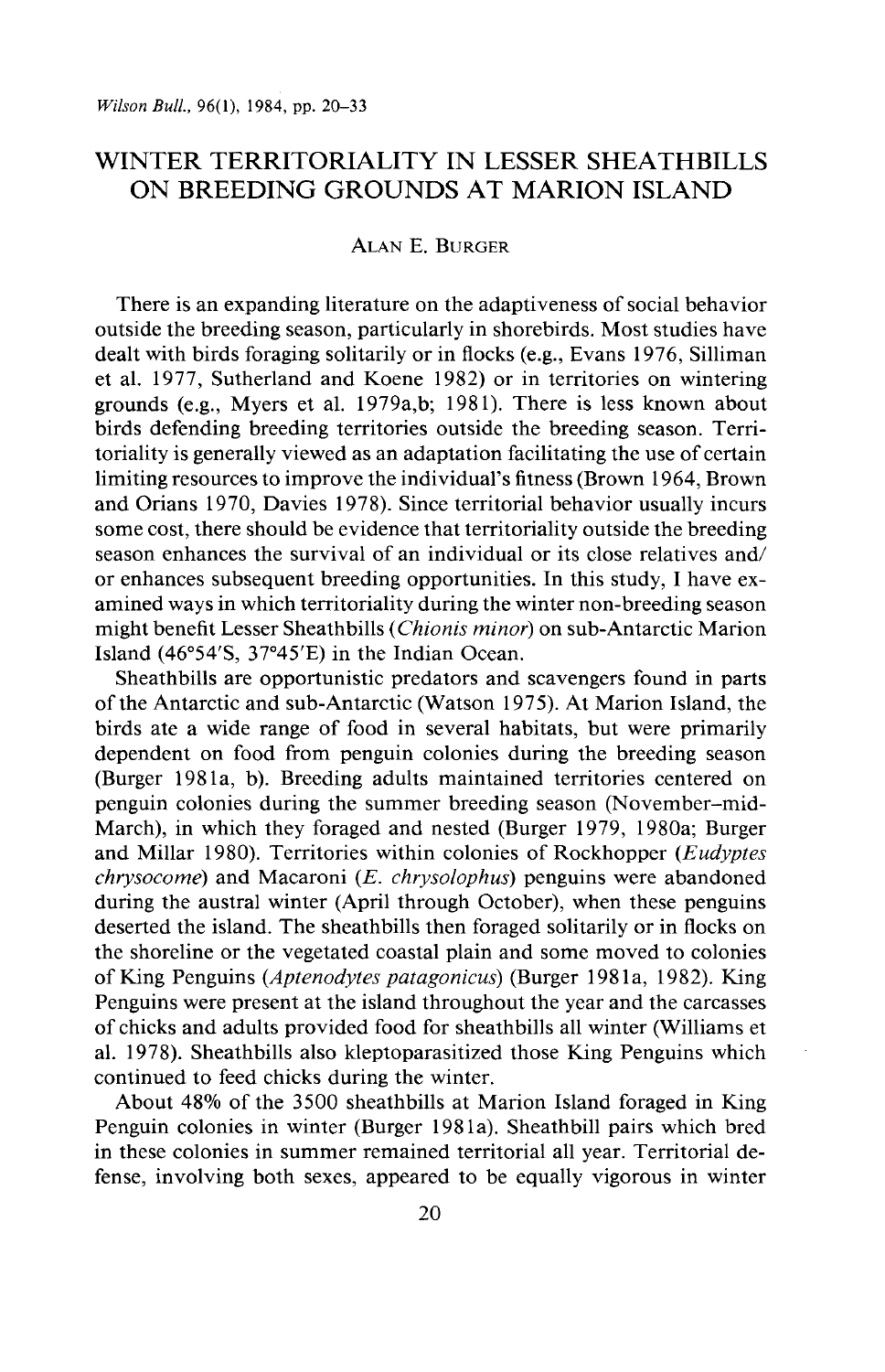# **WINTER TERRITORIALITY IN LESSER SHEATHBILLS ON BREEDING GROUNDS AT MARION ISLAND**

# **ALAN E. BURGER**

**There is an expanding literature on the adaptiveness of social behavior outside the breeding season, particularly in shorebirds. Most studies have dealt with birds foraging solitarily or in flocks (e.g., Evans 1976, Silliman et al. 1977, Sutherland and Koene 1982) or in territories on wintering grounds (e.g., Myers et al. 1979a,b; 1981). There is less known about birds defending breeding territories outside the breeding season. Territoriality is generally viewed as an adaptation facilitating the use of certain limiting resources to improve the individuals ' fitness (Brown 1964, Brown and Orians 1970, Davies 1978). Since territorial behavior usually incurs some cost, there should be evidence that territoriality outside the breeding season enhances the survival of an individual or its close relatives and/ or enhances subsequent breeding opportunities. In this study, I have examined ways in which territoriality during the winter non-breeding season might benefit Lesser Sheathbills (Chionis minor) on sub-Antarctic Marion**  Island (46°54'S, 37°45'E) in the Indian Ocean.

**Sheathbills are opportunistic predators and scavengers found in parts of the Antarctic and sub-Antarctic (Watson 1975). At Marion Island, the birds ate a wide range of food in several habitats, but were primarily dependent on food from penguin colonies during the breeding season (Burger 1981a, b). Breeding adults maintained territories centered on penguin colonies during the summer breeding season (November-mid-March), in which they foraged and nested (Burger 1979, 1980a; Burger and Millar 1980). Territories within colonies of Rockhopper (Eudyptes chrysocome) and Macaroni (E. chrysolophus) penguins were abandoned during the austral winter (April through October), when these penguins deserted the island. The sheathbills then foraged solitarily or in flocks on the shoreline or the vegetated coastal plain and some moved to colonies of King Penguins (Aptenodytes patagonicus) (Burger 198 1 a, 1982). King Penguins were present at the island throughout the year and the carcasses of chicks and adults provided food for sheathbills all winter (Williams et al. 1978). Sheathbills also kleptoparasitized those King Penguins which continued to feed chicks during the winter.** 

**About 48% of the 3500 sheathbills at Marion Island foraged in King Penguin colonies in winter (Burger 1981a). Sheathbill pairs which bred in these colonies in summer remained territorial all year. Territorial defense, involving both sexes, appeared to be equally vigorous in winter**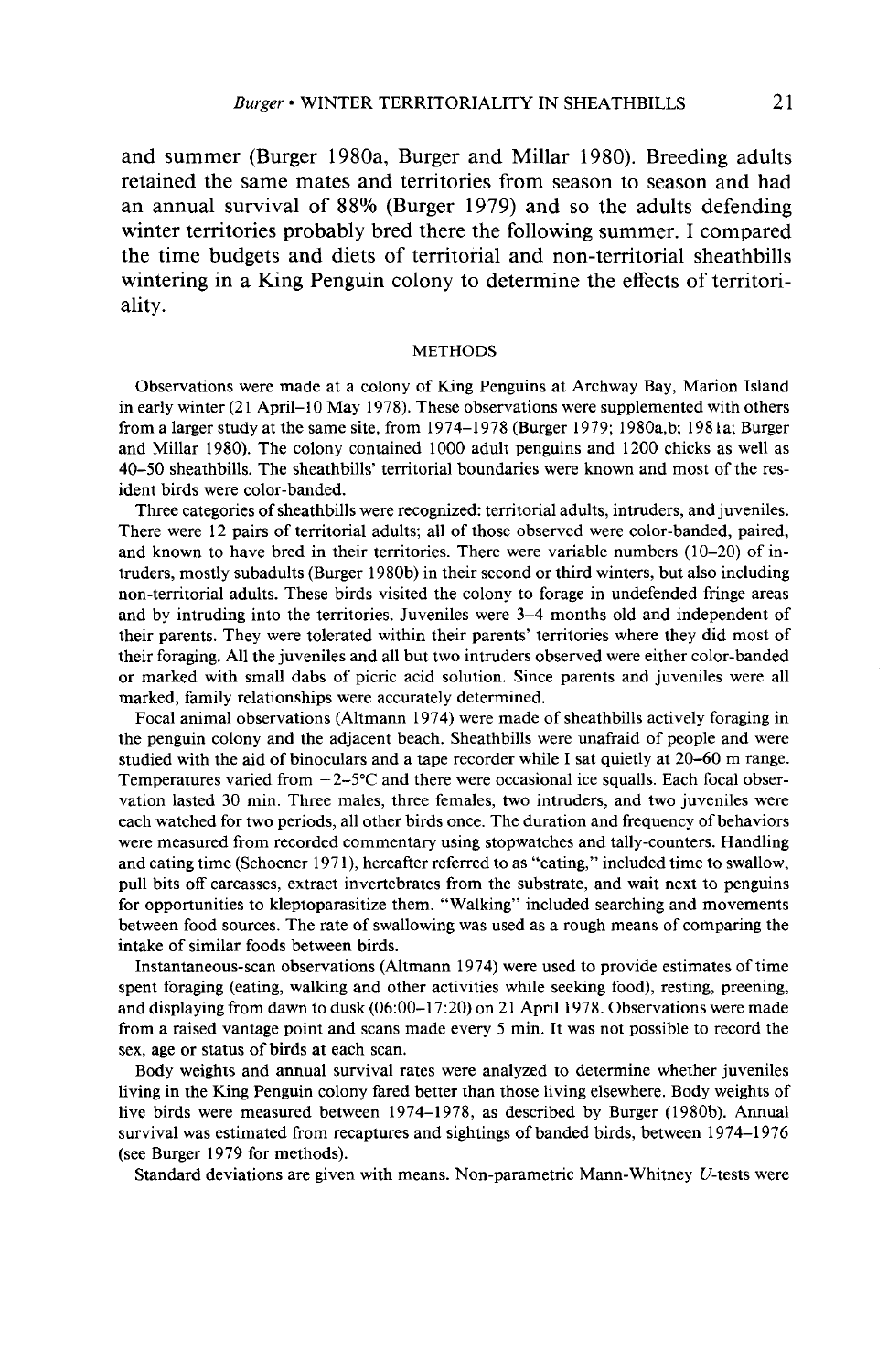**and summer (Burger 1980a, Burger and Millar 1980). Breeding adults retained the same mates and territories from season to season and had an annual survival of 88% (Burger 1979) and so the adults defending winter territories probably bred there the following summer. I compared the time budgets and diets of territorial and non-territorial sheathbills wintering in a King Penguin colony to determine the effects of territoriality.** 

#### **METHODS**

**Observations were made at a colony of King Penguins at Archway Bay, Marion Island**  in early winter (21 April–10 May 1978). These observations were supplemented with others **from a larger study at the same site, from 1974-1978 (Burger 1979; 1980a,b; 1981a; Burger and Millar 1980). The colony contained 1000 adult penguins and 1200 chicks as well as 40-50 sheathbills. The sheathbills' territorial boundaries were known and most of the resident birds were color-banded.** 

**Three categories of sheathbills were recognized: territorial adults, intruders, and juveniles. There were 12 pairs of territorial adults; all of those observed were color-banded, paired, and known to have bred in their territories. There were variable numbers (10-20) of intruders, mostly subadults (Burger 1980b) in their second or third winters, but also including non-territorial adults. These birds visited the colony to forage in undefended fringe areas and by intruding into the territories. Juveniles were 3-4 months old and independent of their parents. They were tolerated within their parents' territories where they did most of their foraging. All the juveniles and all but two intruders observed were either color-banded or marked with small dabs of picric acid solution. Since parents and juveniles were all marked, family relationships were accurately determined.** 

**Focal animal observations (Altmann 1974) were made of sheathbills actively foraging in the penguin colony and the adjacent beach. Sheathbills were unafraid of people and were studied with the aid of binoculars and a tape recorder while I sat quietly at 20-60 m range. Temperatures varied from -2-5°C and there were occasional ice squalls. Each focal observation lasted 30 min. Three males, three females, two intruders, and two juveniles were each watched for two periods, all other birds once. The duration and frequency of behaviors were measured from recorded commentary using stopwatches and tally-counters. Handling**  and eating time (Schoener 1971), hereafter referred to as "eating," included time to swallow, **pull bits off carcasses, extract invertebrates from the substrate, and wait next to penguins for opportunities to kleptoparasitize them. "Walking" included searching and movements between food sources. The rate of swallowing was used as a rough means of comparing the intake of similar foods between birds.** 

**Instantaneous-scan observations (Altmann 1974) were used to provide estimates of time spent foraging (eating, walking and other activities while seeking food), resting, preening, and displaying from dawn to dusk (06:00-l 7:20) on 2 1 April 1978. Observations were made from a raised vantage point and scans made every 5 min. It was not possible to record the sex, age or status of birds at each scan.** 

**Body weights and annual survival rates were analyzed to determine whether juveniles living in the King Penguin colony fared better than those living elsewhere. Body weights of live birds were measured between 1974-1978, as described by Burger (1980b). Annual survival was estimated from recaptures and sightings of banded birds, between 1974-l 976 (see Burger 1979 for methods).** 

**Standard deviations are given with means. Non-parametric Mann-Whitney U-tests were**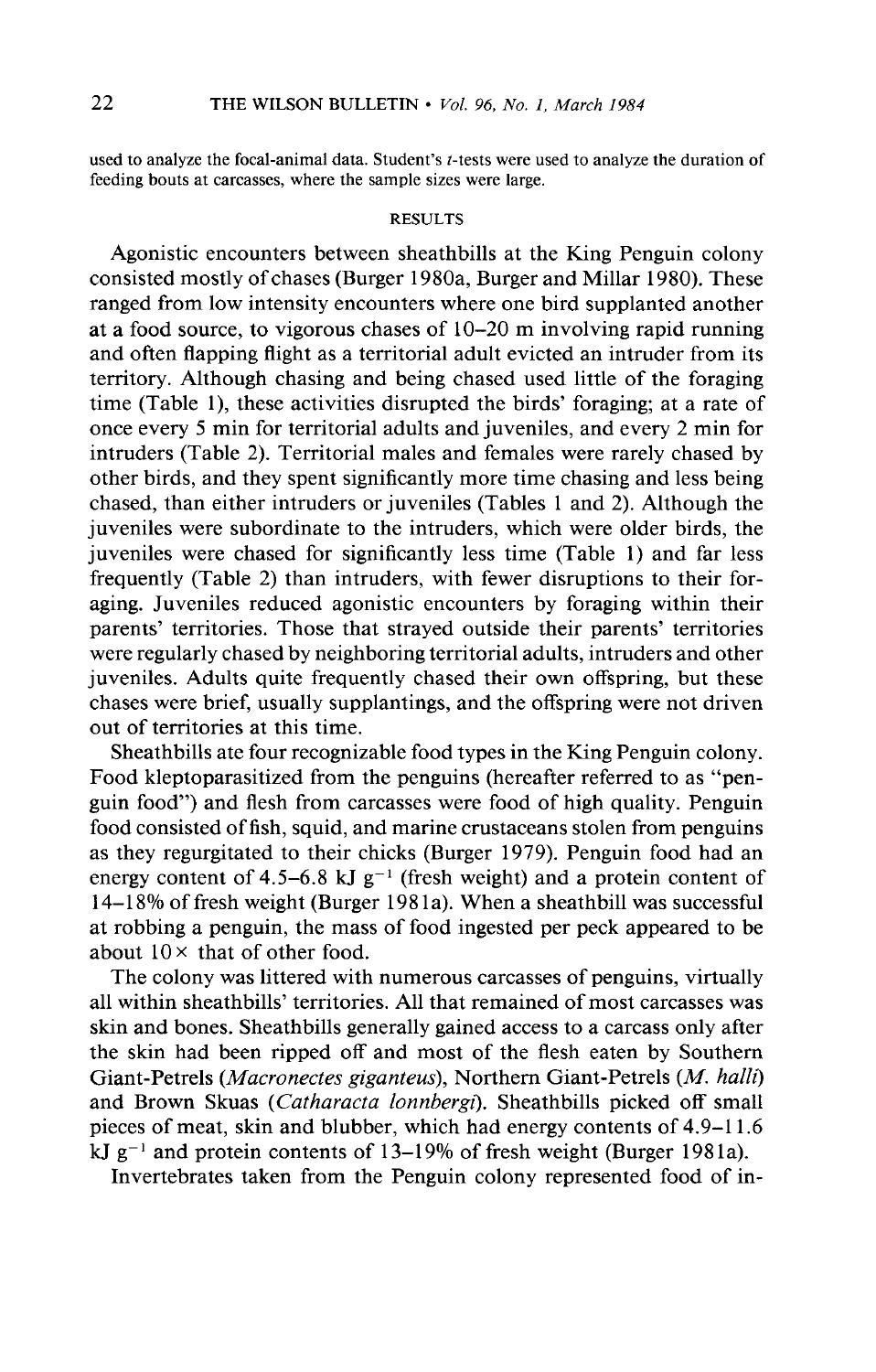**used to analyze the focal-animal data. Student's t-tests were used to analyze the duration of feeding bouts at carcasses, where the sample sizes were large.** 

# **RESULTS**

**Agonistic encounters between sheathbills at the King Penguin colony consisted mostly of chases (Burger 1980a, Burger and Millar 1980). These ranged from low intensity encounters where one bird supplanted another at a food source, to vigorous chases of lo-20 m involving rapid running and often flapping flight as a territorial adult evicted an intruder from its territory. Although chasing and being chased used little of the foraging time (Table l), these activities disrupted the birds' foraging; at a rate of once every 5 min for territorial adults and juveniles, and every 2 min for intruders (Table 2). Territorial males and females were rarely chased by other birds, and they spent significantly more time chasing and less being chased, than either intruders or juveniles (Tables 1 and 2). Although the juveniles were subordinate to the intruders, which were older birds, the juveniles were chased for significantly less time (Table 1) and far less frequently (Table 2) than intruders, with fewer disruptions to their foraging. Juveniles reduced agonistic encounters by foraging within their parents' territories. Those that strayed outside their parents' territories were regularly chased by neighboring territorial adults, intruders and other juveniles. Adults quite frequently chased their own offspring, but these chases were brief, usually supplantings, and the offspring were not driven out of territories at this time.** 

**Sheathbills ate four recognizable food types in the King Penguin colony. Food kleptoparasitized from the penguins (hereafter referred to as "penguin food") and flesh from carcasses were food of high quality. Penguin food consisted of fish, squid, and marine crustaceans stolen from penguins as they regurgitated to their chicks (Burger 1979). Penguin food had an**  energy content of 4.5–6.8 kJ  $g^{-1}$  (fresh weight) and a protein content of 14-18% of fresh weight (Burger 1981a). When a sheathbill was successful **at robbing a penguin, the mass of food ingested per peck appeared to be about 10 x that of other food.** 

**The colony was littered with numerous carcasses of penguins, virtually all within sheathbills' territories. All that remained of most carcasses was skin and bones. Sheathbills generally gained access to a carcass only after the skin had been ripped off and most of the flesh eaten by Southern**  Giant-Petrels (*Macronectes giganteus*), Northern Giant-Petrels (*M. halli*) **and Brown Skuas (Cutharacta lonnbergi). Sheathbills picked off small pieces of meat, skin and blubber, which had energy contents of 4.9-l 1.6 kJ g-i and protein contents of 13-19% of fresh weight (Burger 198 la).** 

**Invertebrates taken from the Penguin colony represented food of in-**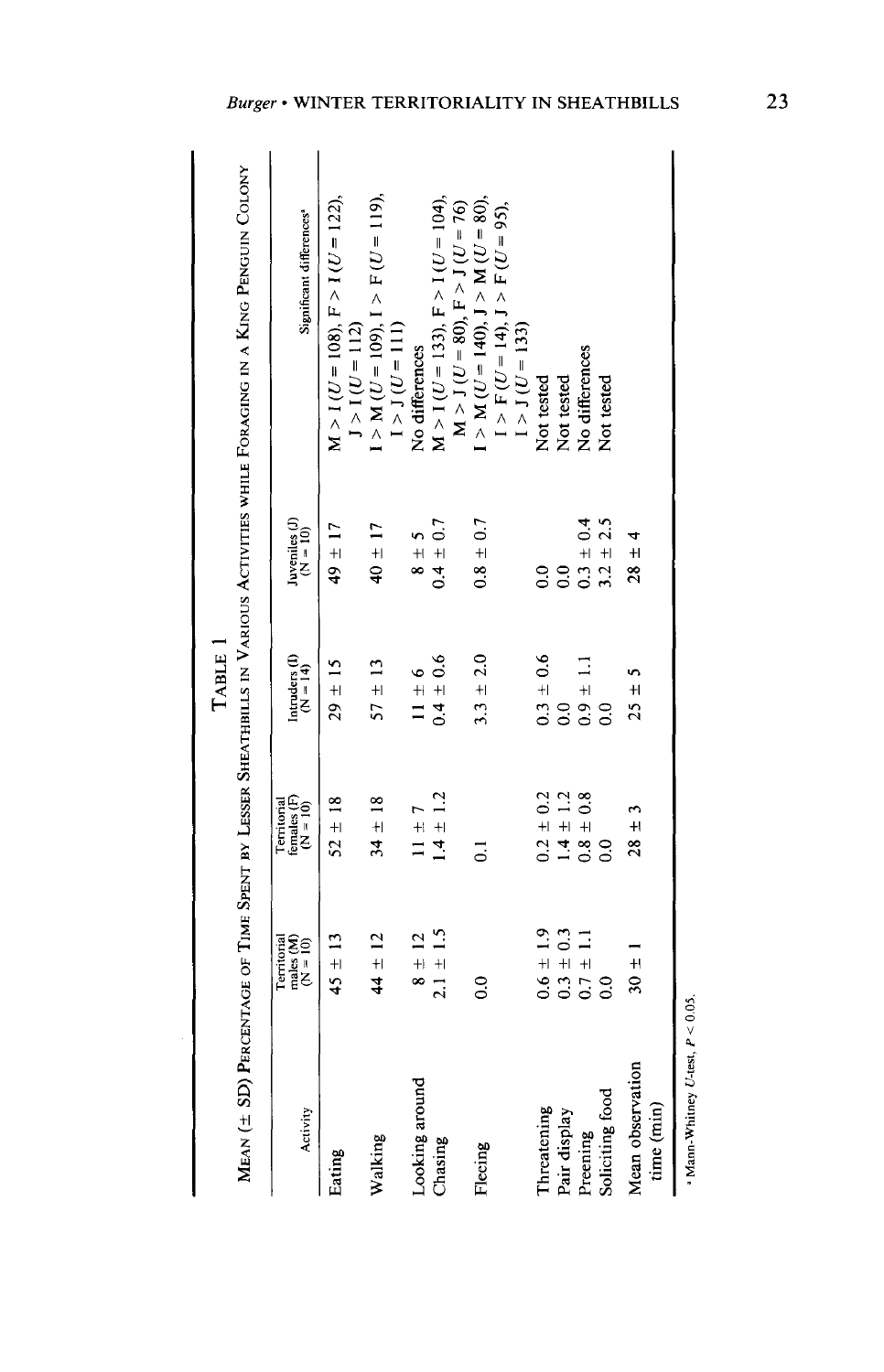| ו<br>ו<br>ו | 2011年,1928年10月,1928年10月,1928年10月20日,1928年10月,1928年10月,1928年10月,1929年10月,1929年10月,1929年10月,1929年10月,1 |
|-------------|------------------------------------------------------------------------------------------------------|

| $\frac{1}{2}$             |  |
|---------------------------|--|
|                           |  |
|                           |  |
|                           |  |
|                           |  |
|                           |  |
|                           |  |
|                           |  |
|                           |  |
| The air Montana and any f |  |
|                           |  |
|                           |  |
|                           |  |
|                           |  |
|                           |  |
|                           |  |
|                           |  |
|                           |  |
| i                         |  |
|                           |  |
|                           |  |
| )<br> <br> <br> <br>Ĭ.    |  |
| $\overline{1}$            |  |
|                           |  |

| Activity                       | males $(M)$<br>$(N = 10)$<br><b>Cerritorial</b> | Territorial<br>females (F)<br>( $N = 10$ ) | Intruders (I)<br>$(N = 14)$ | Juveniles (J)<br>$(N = 10)$ | Significant differences <sup>®</sup>                                   |
|--------------------------------|-------------------------------------------------|--------------------------------------------|-----------------------------|-----------------------------|------------------------------------------------------------------------|
| Eating                         | $45 \pm 13$                                     | $52 \pm 18$                                | $29 \pm 15$                 | $49 \pm 17$                 | $M > I (U = 108), F > I (U = 122),$                                    |
| Walking                        | $44 \pm 12$                                     | $34 \pm 18$                                | $57 \pm 13$                 | $40 \pm 17$                 | $I > M (U = 109), I > F (U = 119),$<br>$J > I (U = 112)$               |
| Looking around                 | $8 \pm 12$                                      | $1 \pm 7$                                  | $11 \pm 6$                  | $\frac{1}{2}$ + 8           | $1 > J(U = 111)$<br>No differences                                     |
| Chasing                        | $2.1 \pm 1.5$                                   | $1.4 \pm 1.2$                              | $0.4 \pm 0.6$               | $0.4 \pm 0.7$               | $M > I (U = 133), F > I (U = 104),$                                    |
| Fleeing                        | $\frac{0}{2}$                                   | ៑                                          | $3.3 \pm 2.0$               | $0.8 \pm 0.7$               | $I > M (U = 140), J > M (U = 80),$<br>$M > J (U = 80), F > J (U = 76)$ |
|                                |                                                 |                                            |                             |                             | $I > F(U = 14), J > F(U = 95),$<br>$I > J(U = 133)$                    |
| Threatening                    | $0.6 \pm 1.9$                                   | $0.2 \pm 0.2$                              | $0.3 \pm 0.6$               | $\overline{0}$ .            | Not tested                                                             |
| Pair display                   | $0.3 \pm 0.3$                                   | $1.4 \pm 1.2$                              | $\frac{1}{2}$               | $\overline{0}$              | Not tested                                                             |
| Preening                       | $0.7 \pm 1.1$                                   | $0.8 \pm 0.8$                              | $0.9 \pm 1.1$               | $0.3 \pm 0.4$               | No differences                                                         |
| Soliciting food                | $\rm ^{o}$                                      | $\frac{0}{2}$                              | $\frac{1}{2}$               | $3.2 \pm 2.5$               | Not tested                                                             |
| Mean observation<br>time (min) | $30 +$                                          | م<br>$28 \pm$                              | $25 \pm 5$                  | $28 \pm 4$                  |                                                                        |

 $^{\circ}$  Mann-Whitney U-test,  $P < 0.05$ .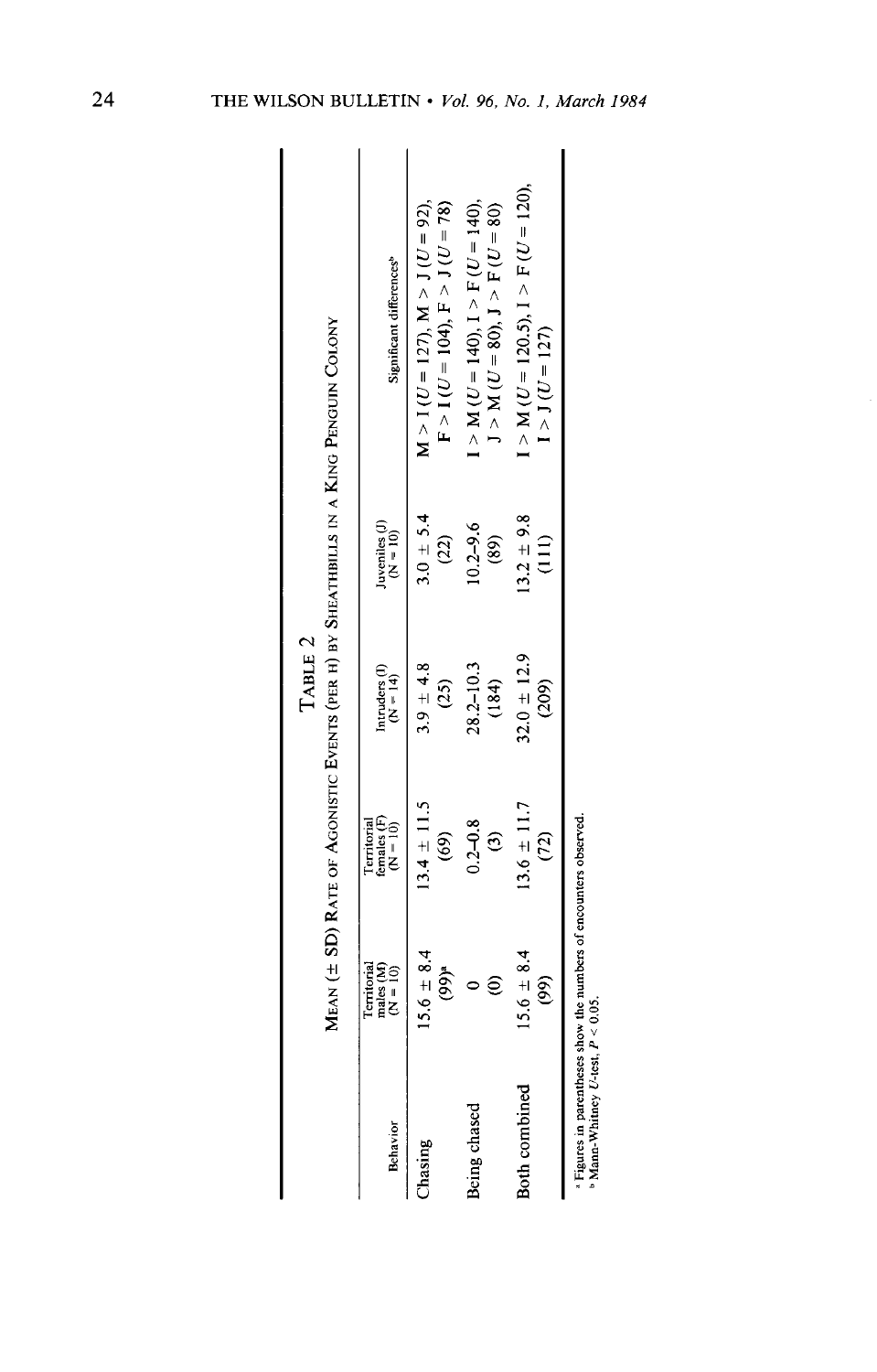MEAN ( $\pm$  SD) RATE OF AGONISTIC EVENTS (PER H) BY SHEATHBILLS IN A KING PENGUIN COLONY TABLE 2

| Behavior      | Territorial<br>males (M)<br>(N = 10)                                                                           | Territorial<br>females (F)<br>(N = 10) | Intruders (I)<br>( $N = 14$ ) | Juveniles (J)<br>$(N = 10)$    | Significant differences <sup>b</sup>                                                      |
|---------------|----------------------------------------------------------------------------------------------------------------|----------------------------------------|-------------------------------|--------------------------------|-------------------------------------------------------------------------------------------|
| Chasing       | $5.6 \pm 8.4$<br>$(99)^n$                                                                                      | $13.4 \pm 11.5$<br>$\widehat{69}$      | $3.9 \pm 4.8$<br>(25)         | $3.0 \pm 5.4$<br>(22)          | $M > I (U = 127)$ , $M > J (U = 92)$ ,<br>$F > I(U = 104)$ , $F > J(U = 78)$              |
| Being chased  | ව                                                                                                              | $0.2 - 0.8$<br>$\widehat{c}$           | $28.2 - 10.3$<br>(184)        | $0.2 - 9.6$<br>(89)            | $I > M$ ( <i>U</i> = 140), $I > F$ ( <i>U</i> = 140),<br>$J > M (U = 80), J > F (U = 80)$ |
| Both combined | $15.6 \pm 8.4$<br>(99)                                                                                         | $13.6 \pm 11.7$<br>(72)                | $82.0 \pm 12.9$<br>(209)      | $3.2 \pm 9.8$<br>$\frac{1}{2}$ | $I > M (U = 120.5), I > F (U = 120),$<br>$1 > J(U = 127)$                                 |
|               | h Times in a cash come de sur the come design a morte de la come de la proprieta de la come de la come de la c |                                        |                               |                                |                                                                                           |

 $\frac{1}{2}$  Figures in parentheses show the numbers of encounters observed.<br>  $\frac{1}{2}$  Mann-Whitney U-test,  $P < 0.05$ .

 $24$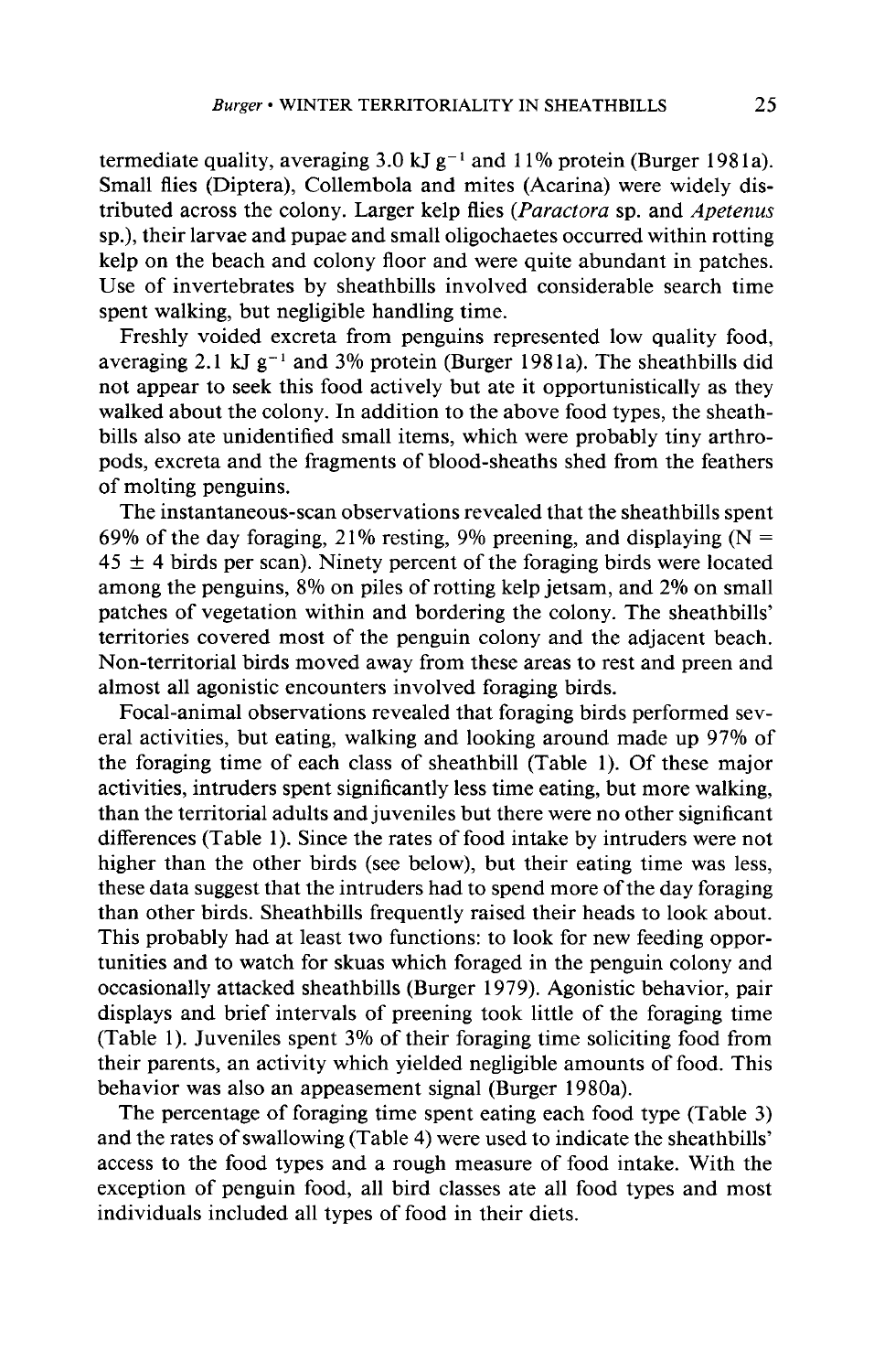termediate quality, averaging  $3.0 \text{ kJ g}^{-1}$  and  $11\%$  protein (Burger 1981a). **Small flies (Diptera), Collembola and mites (Acarina) were widely dis**tributed across the colony. Larger kelp flies (*Paractora* sp. and *Apetenus* **sp.), their larvae and pupae and small oligochaetes occurred within rotting kelp on the beach and colony floor and were quite abundant in patches. Use of invertebrates by sheathbills involved considerable search time spent walking, but negligible handling time.** 

**Freshly voided excreta from penguins represented low quality food,**  averaging 2.1 kJ  $g^{-1}$  and 3% protein (Burger 1981a). The sheathbills did **not appear to seek this food actively but ate it opportunistically as they walked about the colony. In addition to the above food types, the sheathbills also ate unidentified small items, which were probably tiny arthropods, excreta and the fragments of blood-sheaths shed from the feathers of molting penguins.** 

**The instantaneous-scan observations revealed that the sheathbills spent**  69% of the day foraging, 21% resting, 9% preening, and displaying  $(N =$  $45 \pm 4$  birds per scan). Ninety percent of the foraging birds were located **among the penguins, 8% on piles of rotting kelp jetsam, and 2% on small patches of vegetation within and bordering the colony. The sheathbills' territories covered most of the penguin colony and the adjacent beach. Non-territorial birds moved away from these areas to rest and preen and almost all agonistic encounters involved foraging birds.** 

**Focal-animal observations revealed that foraging birds performed several activities, but eating, walking and looking around made up 97% of the foraging time of each class of sheathbill (Table 1). Of these major activities, intruders spent significantly less time eating, but more walking, than the territorial adults and juveniles but there were no other significant differences (Table 1). Since the rates of food intake by intruders were not higher than the other birds (see below), but their eating time was less, these data suggest that the intruders had to spend more of the day foraging than other birds. Sheathbills frequently raised their heads to look about. This probably had at least two functions: to look for new feeding opportunities and to watch for skuas which foraged in the penguin colony and occasionally attacked sheathbills (Burger 1979). Agonistic behavior, pair displays and brief intervals of preening took little of the foraging time (Table 1). Juveniles spent 3% of their foraging time soliciting food from their parents, an activity which yielded negligible amounts of food. This behavior was also an appeasement signal (Burger 1980a).** 

**The percentage of foraging time spent eating each food type (Table 3) and the rates of swallowing (Table 4) were used to indicate the sheathbills' access to the food types and a rough measure of food intake. With the exception of penguin food, all bird classes ate all food types and most individuals included all types of food in their diets.**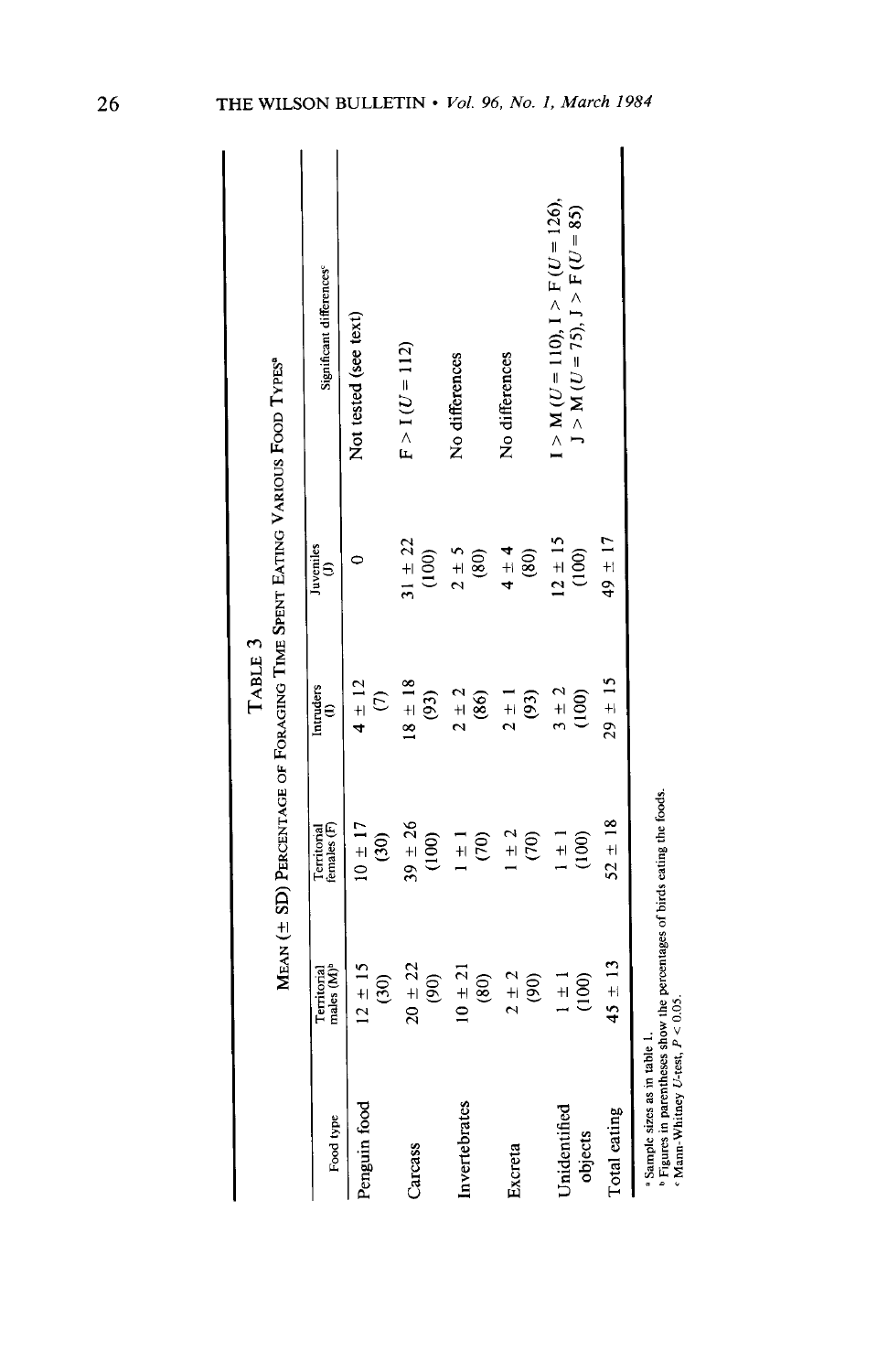|                         |                                       |                                                                                      | TABLE 3                                             |                             |                                                                         |
|-------------------------|---------------------------------------|--------------------------------------------------------------------------------------|-----------------------------------------------------|-----------------------------|-------------------------------------------------------------------------|
|                         |                                       | MEAN (± SD) PERCENTAGE OF FORAGING TIME SPENT EATING VARIOUS FOOD TYPES <sup>®</sup> |                                                     |                             |                                                                         |
| Food type               | males (M) <sup>b</sup><br>Territorial | Territorial<br>females (F)                                                           | Intruders<br>$\begin{pmatrix} 1 \\ 0 \end{pmatrix}$ | Juveniles<br>$\binom{J}{i}$ | Significant differences <sup>e</sup>                                    |
| Penguin food            | $12 \pm 15$<br>$\widehat{c}$          | $10 \pm 17$<br>$\widehat{c}$                                                         | $4 \pm 12$<br>$\varepsilon$                         |                             | Not tested (see text)                                                   |
| Carcass                 | $20 + 22$<br>$\widehat{\mathcal{E}}$  | $39 \pm 26$<br>(100)                                                                 | $18 \pm 18$<br>(93)                                 | $31 \pm 22$<br>(100)        | $F > I(U = 112)$                                                        |
| Invertebrates           | $10 \pm 21$<br>$\circledast$          | $\widehat{C}$<br>$\frac{1}{2}$                                                       | $2 \pm 2$<br>(86)                                   | $2 \pm 5$<br>$\circledast$  | No differences                                                          |
| Excreta                 | $2 \pm 2$<br>$\widehat{\mathcal{S}}$  | $\frac{1}{2}$<br><b>E</b>                                                            | (93)<br>$2 \pm 1$                                   | $4 \pm 4$<br>$\circledS$    | No differences                                                          |
| Unidentified<br>objects | (100)<br>$\frac{1}{1}$                | $\frac{100}{1}$<br>$\frac{1}{1}$                                                     | $3 \pm 2$<br>(100)                                  | $12 \pm 15$<br>(100)        | $I > M (U = 110), I > F (U = 126),$<br>$J > M (U = 75), J > F (U = 85)$ |
| Total eating            | $45 \pm 13$                           | $52 \pm 18$                                                                          | $29 \pm 15$                                         | $49 \pm 17$                 |                                                                         |
|                         |                                       |                                                                                      |                                                     |                             |                                                                         |

<sup>a</sup> Sample sizes as in table 1.<br>
<sup>b</sup> Figures in parentheses show the percentages of birds eating the foods.<br>  $\alpha$  Mann-Whitney U-test,  $P < 0.05$ .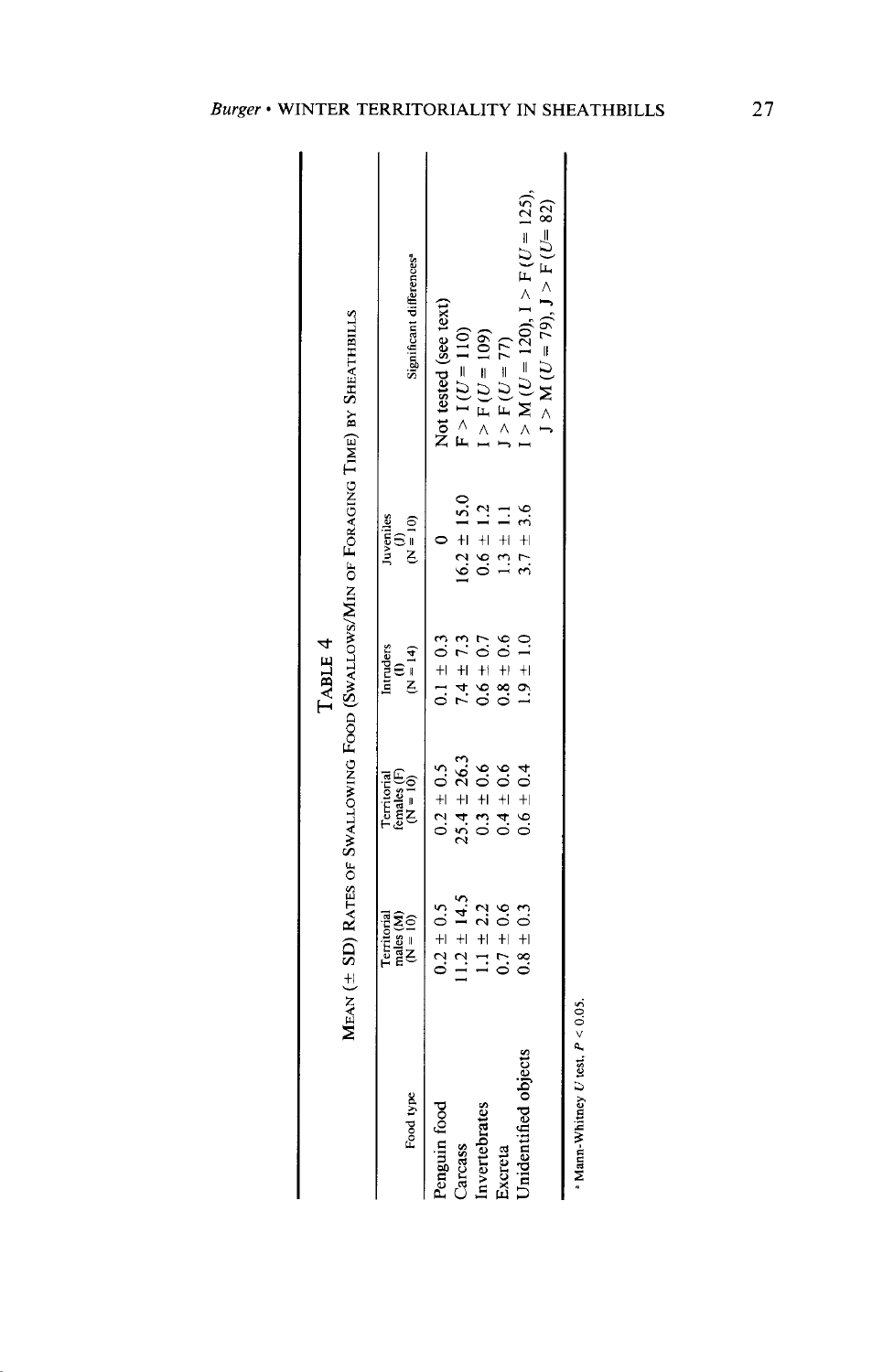|                      |                                                 |                                        | TABLE 4                        |                                 | MEAN (± SD) RATES OF SWALLOWING FOOD (SWALLOWS/MIN OF FORAGING TIME) BY SHEATHBILLS |
|----------------------|-------------------------------------------------|----------------------------------------|--------------------------------|---------------------------------|-------------------------------------------------------------------------------------|
| Food type            | males $(M)$<br>$(N = 10)$<br><b>Territorial</b> | Territorial<br>females (F)<br>(N = 10) | Intruders<br>(I)<br>$(N = 14)$ | Juveniles<br>$(0, \frac{1}{C})$ | Significant differences <sup>®</sup>                                                |
| Penguin food         | $0.2 \pm 0.5$                                   | $0.2 \pm 0.5$                          | $0.1 \pm 0.3$                  |                                 | Not tested (see text)                                                               |
| Carcass              | $1.2 \pm 14.5$                                  | $25.4 \pm 26.3$                        | $7.4 \pm 7.3$                  | $16.2 \pm 15.0$                 | $F > 1(U = 110)$                                                                    |
| Invertebrates        | $1.1 \pm 2.2$                                   | $0.3 \pm 0.6$                          | $0.6 \pm 0.7$                  | $0.6 \pm 1.2$                   | $I > F(U = 109)$                                                                    |
| Excreta              | $0.7 \pm 0.6$                                   | $0.4 \pm 0.6$                          | $0.8 \pm 0.6$                  | $1.3 \pm 1.1$                   | $I > F(U = 77)$                                                                     |
| Unidentified objects | $0.8 \pm 0.3$                                   | $0.6 \pm 0.4$                          | $1.9 \pm 1.0$                  | $3.7 \pm 3.6$                   | $I > M (U = 120), I > F (U = 125),$<br>$J > M (U = 79), J > F (U = 82)$             |
|                      |                                                 |                                        |                                |                                 |                                                                                     |

<sup>a</sup> Mann-Whitney U test,  $P < 0.05$ .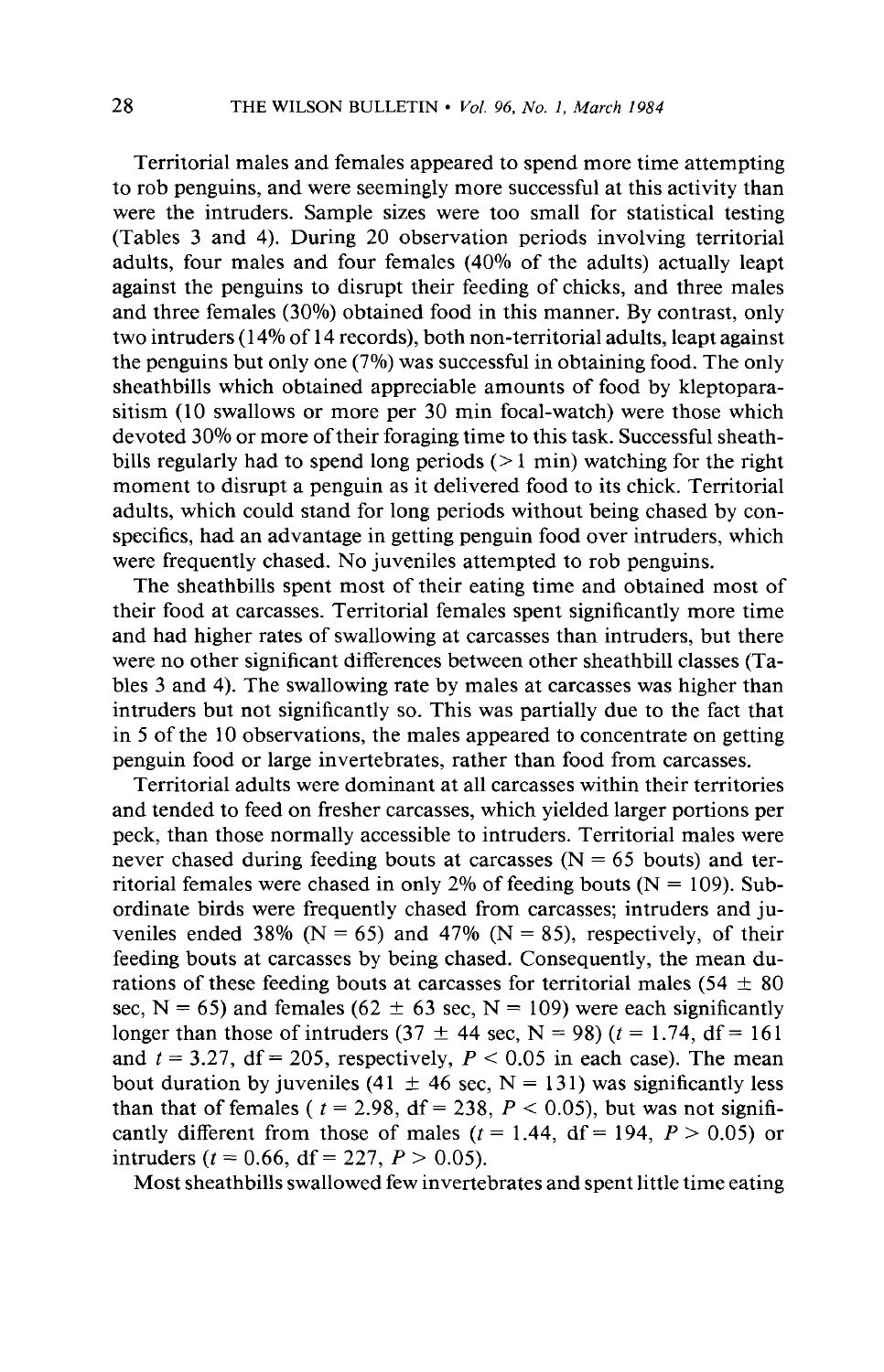**Territorial males and females appeared to spend more time attempting to rob penguins, and were seemingly more successful at this activity than were the intruders. Sample sizes were too small for statistical testing (Tables 3 and 4). During 20 observation periods involving territorial adults, four males and four females (40% of the adults) actually leapt against the penguins to disrupt their feeding of chicks, and three males and three females (30%) obtained food in this manner. By contrast, only two intruders (14% of 14 records), both non-territorial adults, leapt against the penguins but only one (7%) was successful in obtaining food. The only sheathbills which obtained appreciable amounts of food by kleptoparasitism (10 swallows or more per 30 min focal-watch) were those which devoted 30% or more of their foraging time to this task. Successful sheathbills regularly had to spend long periods (> 1 min) watching for the right moment to disrupt a penguin as it delivered food to its chick. Territorial adults, which could stand for long periods without being chased by conspecifics, had an advantage in getting penguin food over intruders, which were frequently chased. No juveniles attempted to rob penguins.** 

**The sheathbills spent most of their eating time and obtained most of their food at carcasses. Territorial females spent significantly more time and had higher rates of swallowing at carcasses than intruders, but there were no other significant differences between other sheathbill classes (Tables 3 and 4). The swallowing rate by males at carcasses was higher than intruders but not significantly so. This was partially due to the fact that in 5 of the 10 observations, the males appeared to concentrate on getting penguin food or large invertebrates, rather than food from carcasses.** 

**Territorial adults were dominant at all carcasses within their territories and tended to feed on fresher carcasses, which yielded larger portions per peck, than those normally accessible to intruders. Territorial males were never chased during feeding bouts at carcasses (N = 65 bouts) and territorial females were chased in only 2% of feeding bouts (N = 109). Subordinate birds were frequently chased from carcasses; intruders and ju**veniles ended 38% ( $N = 65$ ) and 47% ( $N = 85$ ), respectively, of their **feeding bouts at carcasses by being chased. Consequently, the mean du**rations of these feeding bouts at carcasses for territorial males ( $54 \pm 80$ ) sec,  $N = 65$ ) and females (62  $\pm$  63 sec,  $N = 109$ ) were each significantly longer than those of intruders (37  $\pm$  44 sec, N = 98) (t = 1.74, df = 161 and  $t = 3.27$ ,  $df = 205$ , respectively,  $P < 0.05$  in each case). The mean bout duration by juveniles (41  $\pm$  46 sec, N = 131) was significantly less than that of females ( $t = 2.98$ ,  $df = 238$ ,  $P < 0.05$ ), but was not significantly different from those of males ( $t = 1.44$ ,  $df = 194$ ,  $P > 0.05$ ) or **intruders** ( $t = 0.66$ , df = 227,  $P > 0.05$ ).

**Most sheathbills swallowed few invertebrates and spent little time eating**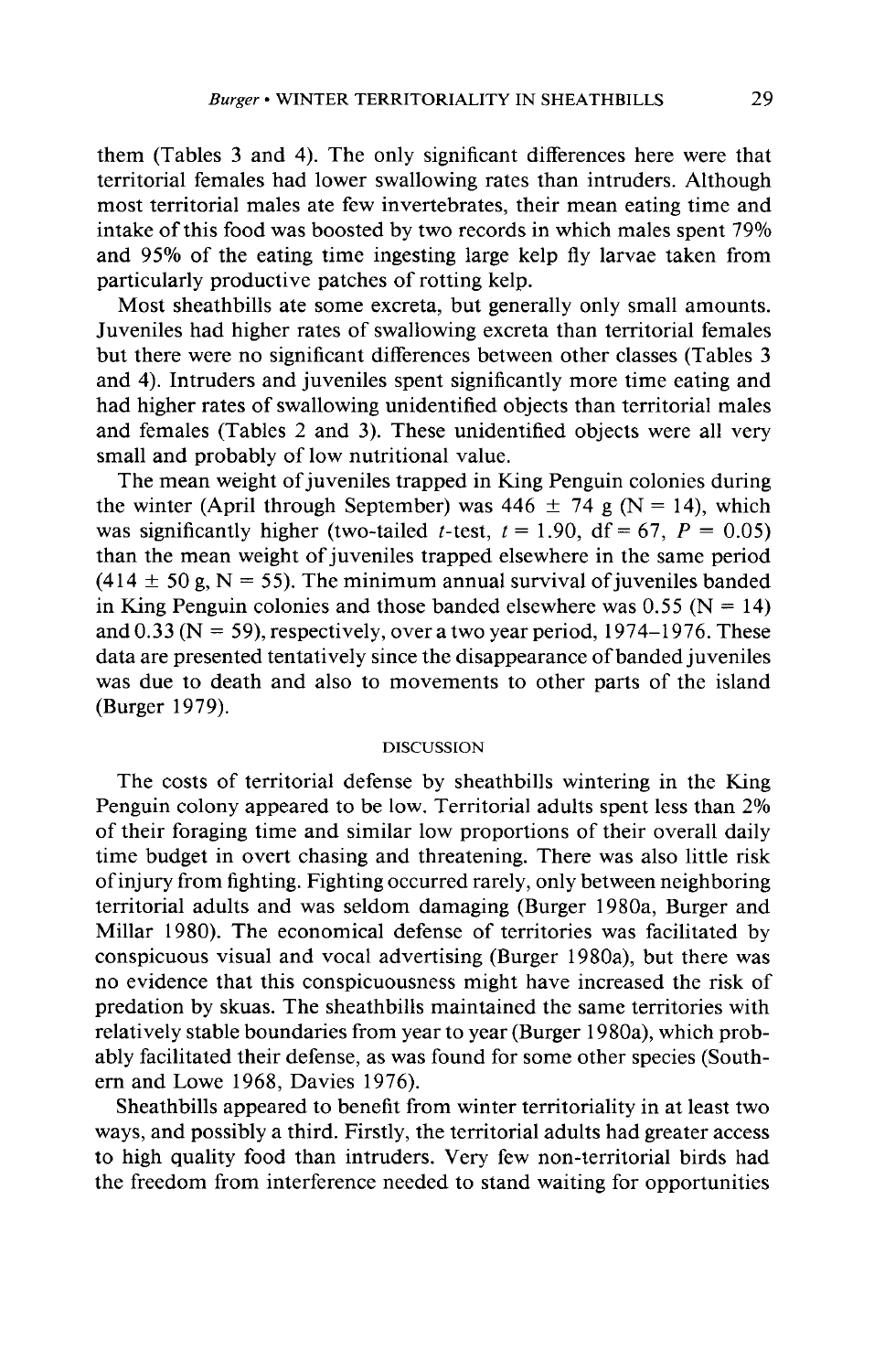**them (Tables 3 and 4). The only significant differences here were that territorial females had lower swallowing rates than intruders. Although most territorial males ate few invertebrates, their mean eating time and intake of this food was boosted by two records in which males spent 79% and 95% of the eating time ingesting large kelp fly larvae taken from particularly productive patches of rotting kelp.** 

**Most sheathbills ate some excreta, but generally only small amounts. Juveniles had higher rates of swallowing excreta than territorial females but there were no significant differences between other classes (Tables 3 and 4). Intruders and juveniles spent significantly more time eating and had higher rates of swallowing unidentified objects than territorial males and females (Tables 2 and 3). These unidentified objects were all very small and probably of low nutritional value.** 

**The mean weight of juveniles trapped in King Penguin colonies during**  the winter (April through September) was  $446 \pm 74$  g (N = 14), which was significantly higher (two-tailed *t*-test,  $t = 1.90$ ,  $df = 67$ ,  $P = 0.05$ ) **than the mean weight of juveniles trapped elsewhere in the same period**   $(414 \pm 50 \text{ g}, \text{N} = 55)$ . The minimum annual survival of juveniles banded in King Penguin colonies and those banded elsewhere was  $0.55$  (N = 14) and  $0.33$  (N = 59), respectively, over a two year period,  $1974-1976$ . These **data are presented tentatively since the disappearance of banded juveniles was due to death and also to movements to other parts of the island (Burger 1979).** 

#### **DISCUSSION**

**The costs of territorial defense by sheathbills wintering in the King Penguin colony appeared to be low. Territorial adults spent less than 2% of their foraging time and similar low proportions of their overall daily time budget in overt chasing and threatening. There was also little risk of injury from fighting. Fighting occurred rarely, only between neighboring territorial adults and was seldom damaging (Burger 1980a, Burger and Millar 1980). The economical defense of territories was facilitated by conspicuous visual and vocal advertising (Burger 1980a), but there was no evidence that this conspicuousness might have increased the risk of predation by skuas. The sheathbills maintained the same territories with relatively stable boundaries from year to year (Burger 1980a), which probably facilitated their defense, as was found for some other species (Southern and Lowe 1968, Davies 1976).** 

**Sheathbills appeared to benefit from winter territoriality in at least two ways, and possibly a third. Firstly, the territorial adults had greater access to high quality food than intruders. Very few non-territorial birds had the freedom from interference needed to stand waiting for opportunities**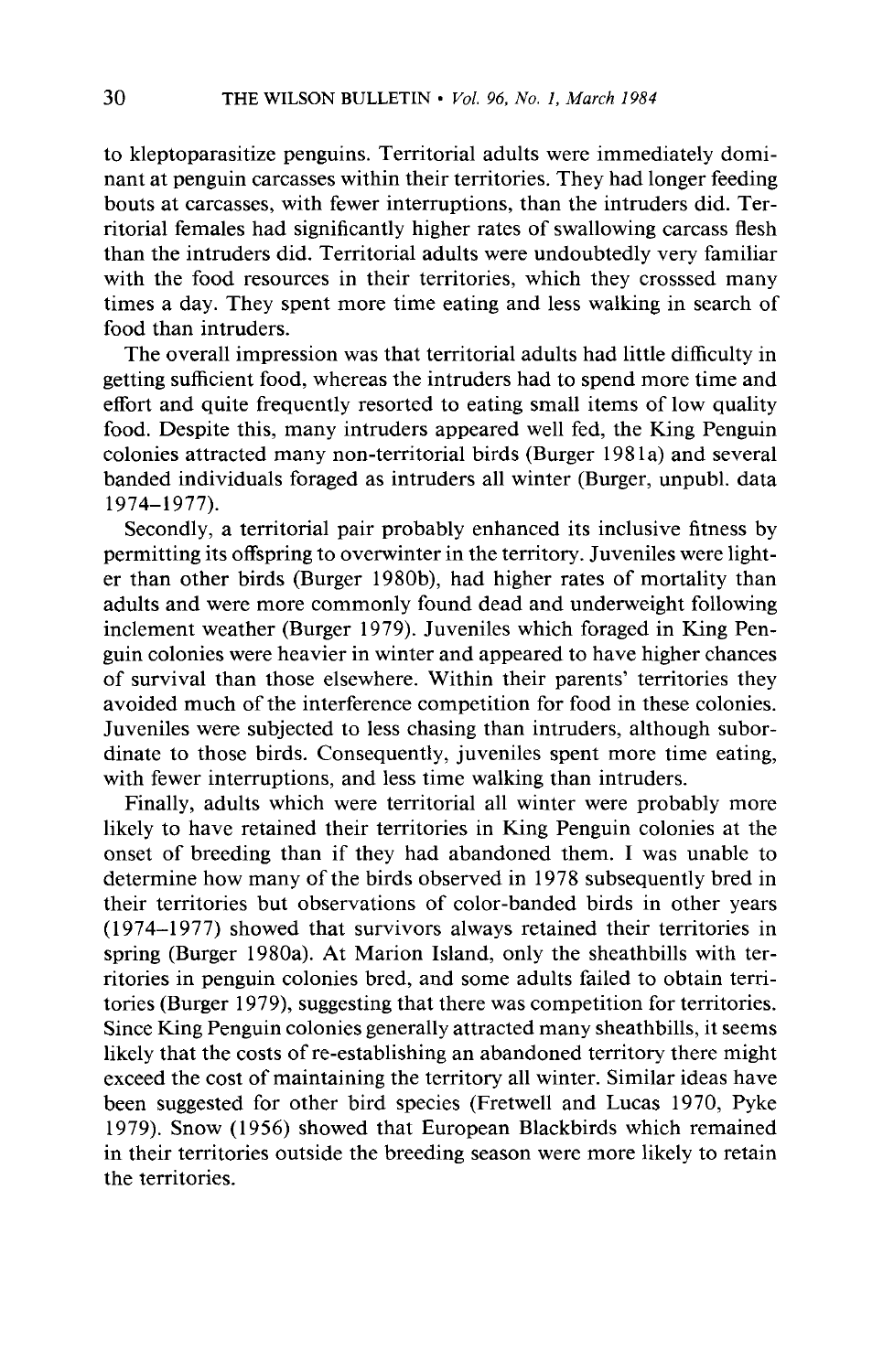**to kleptoparasitize penguins. Territorial adults were immediately dominant at penguin carcasses within their territories. They had longer feeding bouts at carcasses, with fewer interruptions, than the intruders did. Territorial females had significantly higher rates of swallowing carcass flesh than the intruders did. Territorial adults were undoubtedly very familiar with the food resources in their territories, which they crosssed many times a day. They spent more time eating and less walking in search of food than intruders.** 

**The overall impression was that territorial adults had little difficulty in getting sufficient food, whereas the intruders had to spend more time and effort and quite frequently resorted to eating small items of low quality food. Despite this, many intruders appeared well fed, the King Penguin colonies attracted many non-territorial birds (Burger 198 la) and several banded individuals foraged as intruders all winter (Burger, unpubl. data 1974-1977).** 

**Secondly, a territorial pair probably enhanced its inclusive fitness by permitting its offspring to overwinter in the territory. Juveniles were lighter than other birds (Burger 1980b), had higher rates of mortality than adults and were more commonly found dead and underweight following inclement weather (Burger 1979). Juveniles which foraged in King Penguin colonies were heavier in winter and appeared to have higher chances of survival than those elsewhere. Within their parents' territories they avoided much of the interference competition for food in these colonies. Juveniles were subjected to less chasing than intruders, although subordinate to those birds. Consequently, juveniles spent more time eating, with fewer interruptions, and less time walking than intruders.** 

**Finally, adults which were territorial all winter were probably more likely to have retained their territories in King Penguin colonies at the onset of breeding than if they had abandoned them. I was unable to determine how many of the birds observed in 1978 subsequently bred in their territories but observations of color-banded birds in other years (1974-1977) showed that survivors always retained their territories in spring (Burger 1980a). At Marion Island, only the sheathbills with territories in penguin colonies bred, and some adults failed to obtain territories (Burger 1979), suggesting that there was competition for territories. Since King Penguin colonies generally attracted many sheathbills, it seems likely that the costs of re-establishing an abandoned territory there might exceed the cost of maintaining the territory all winter. Similar ideas have been suggested for other bird species (Fretwell and Lucas 1970, Pyke 1979). Snow (1956) showed that European Blackbirds which remained in their territories outside the breeding season were more likely to retain the territories.**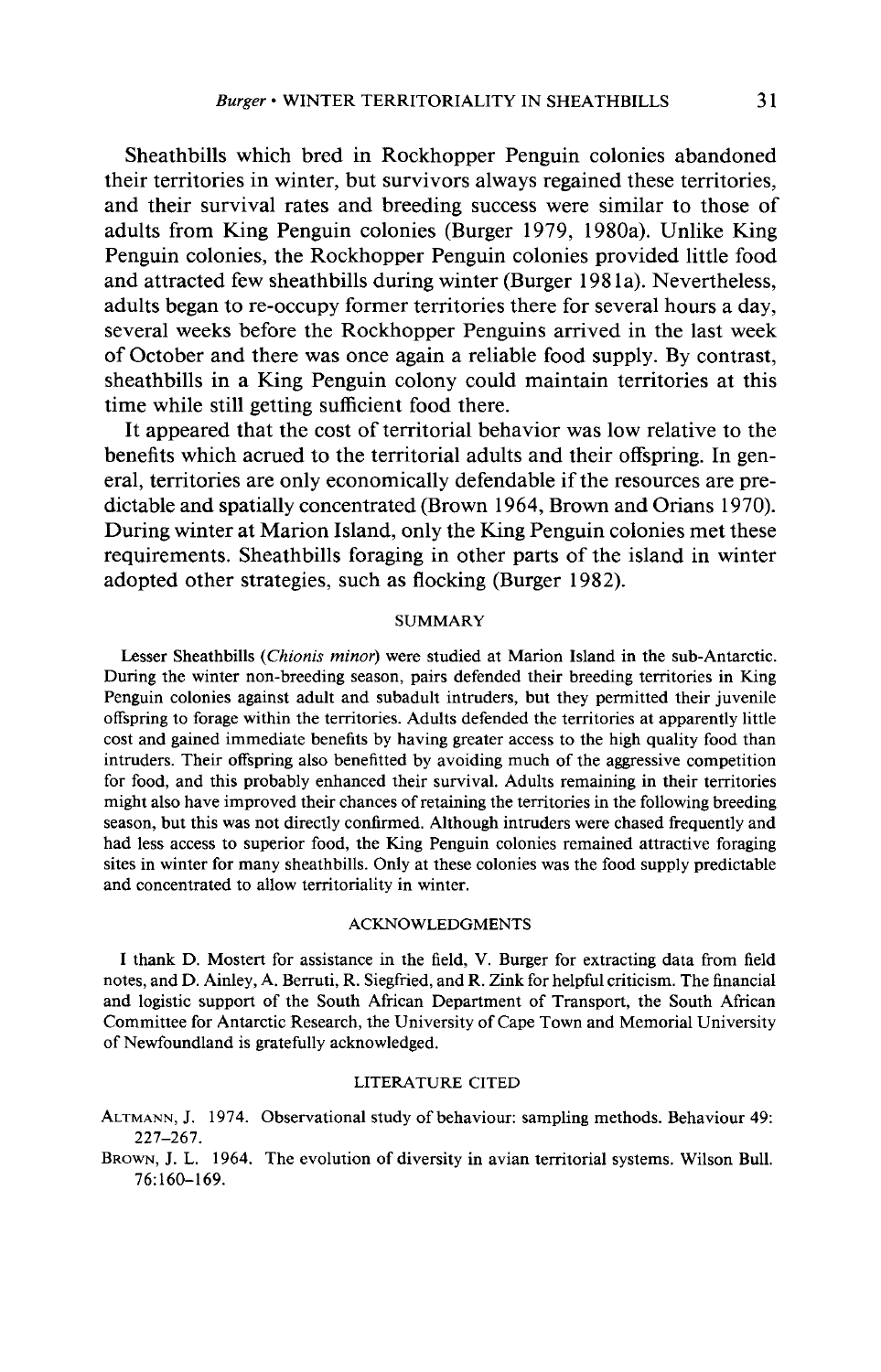**Sheathbills which bred in Rockhopper Penguin colonies abandoned their territories in winter, but survivors always regained these territories, and their survival rates and breeding success were similar to those of adults from King Penguin colonies (Burger 1979, 1980a). Unlike King Penguin colonies, the Rockhopper Penguin colonies provided little food**  and attracted few sheathbills during winter (Burger 1981a). Nevertheless, **adults began to re-occupy former territories there for several hours a day, several weeks before the Rockhopper Penguins arrived in the last week of October and there was once again a reliable food supply. By contrast, sheathbills in a King Penguin colony could maintain territories at this time while still getting sufficient food there.** 

**It appeared that the cost of territorial behavior was low relative to the benefits which acrued to the territorial adults and their offspring. In general, territories are only economically defendable if the resources are predictable and spatially concentrated (Brown 1964, Brown and Orians 1970). During winter at Marion Island, only the King Penguin colonies met these requirements. Sheathbills foraging in other parts of the island in winter adopted other strategies, such as flocking (Burger 1982).** 

### **SUMMARY**

**Lesser Sheathbills (Chionis minor) were studied at Marion Island in the sub-Antarctic. During the winter non-breeding season, pairs defended their breeding territories in King Penguin colonies against adult and subadult intruders, but they permitted their juvenile offspring to forage within the territories. Adults defended the territories at apparently little cost and gained immediate benefits by having greater access to the high quality food than intruders. Their offspring also benefitted by avoiding much of the aggressive competition for food, and this probably enhanced their survival. Adults remaining in their territories might also have improved their chances of retaining the territories in the following breeding season, but this was not directly confirmed. Although intruders were chased frequently and had less access to superior food, the King Penguin colonies remained attractive foraging sites in winter for many sheathbills. Only at these colonies was the food supply predictable and concentrated to allow territoriality in winter.** 

#### **ACKNOWLEDGMENTS**

**I thank D. Mostert for assistance in the field, V. Burger for extracting data from field notes, and D. Ainley, A. Berruti, R. Siegfried, and R. Zink for helpful criticism. The financial and logistic support of the South African Department of Transport, the South African Committee for Antarctic Research, the University of Cape Town and Memorial University of Newfoundland is gratefully acknowledged.** 

# **LITERATURE CITED**

**ALTMANN, J. 1974. Observational study of behaviour: sampling methods. Behaviour 49: 227-267.** 

**BROWN, J. L. 1964. The evolution of diversity in avian territorial systems. Wilson Bull. 76:160-169.**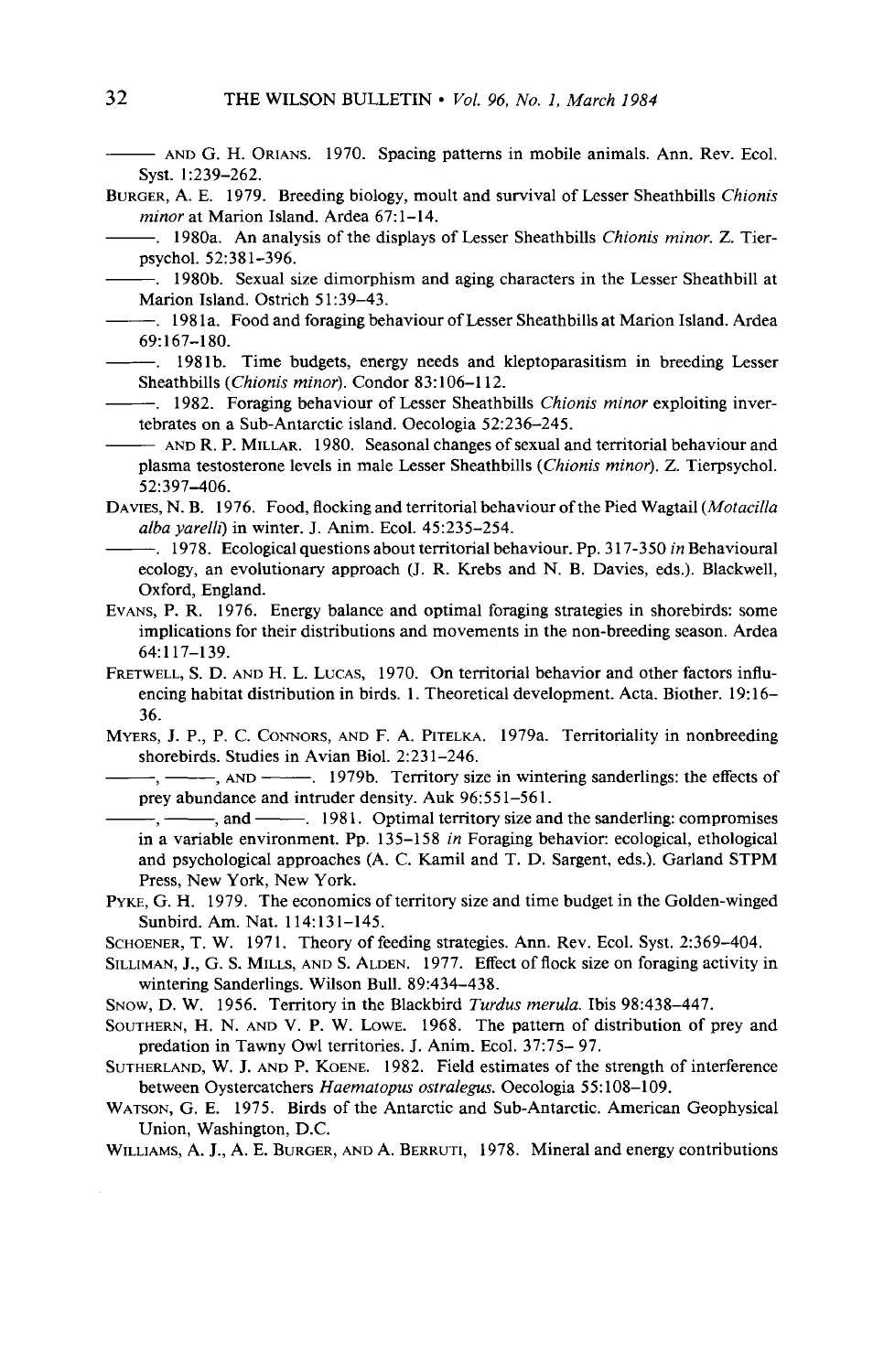**- AND G. H. ORIANS. 1970. Spacing patterns in mobile animals. Ann. Rev. Ecol. Syst. 1:239-262.** 

- **BURGER, A. E. 1979. Breeding biology, moult and survival of Lesser Sheathbills Chionis**  minor at Marion Island. Ardea 67:1-14.
- **-. 1980a. An analysis of the displays of Lesser Sheathbills Chionis minor. Z. Tierpsychol. 52:381-396.** 
	- **-. 1980b. Sexual size dimorphism and aging characters in the Lesser Sheathbill at Marion Island. Ostrich 5 1:39-43.**
- **-. 198 1 a. Food and foraging behaviour of Lesser Sheathbills at Marion Island. Ardea 69:167-180.**
- **-. 198 lb. Time budgets, energy needs and kleptoparasitism in breeding Lesser Sheathbills (Chionis minor). Condor 83: 106-l 12.**
- **-. 1982. Foraging behaviour of Lesser Sheathbills Chionis minor exploiting invertebrates on a Sub-Antarctic island. Oecologia 52:236-245.** 
	- **AND R. P. MILLAR. 1980. Seasonal changes of sexual and territorial behaviour and plasma testosterone levels in male Lesser Sheathbills (Chionis minor). Z. Tierpsychol. 521397-406.**
- DAVIES, N. B. 1976. Food, flocking and territorial behaviour of the Pied Wagtail (*Motacilla* **alba yarelh] in winter. J. Anim. Ecol. 45:235-254.**
- **-. 1978. Ecological questions about territorial behaviour. Pp. 3 17-350 in Behavioural ecology, an evolutionary approach (J. R. Krebs and N. B. Davies, eds.). Blackwell, Oxford, England.**
- **EVANS, P. R. 1976. Energy balance and optimal foraging strategies in shorebirds: some implications for their distributions and movements in the non-breeding season. Ardea 64:117-139.**
- **FRETWELL, S. D. AND H. L. LUCAS, 1970. On territorial behavior and other factors influ**encing habitat distribution in birds. 1. Theoretical development. Acta. Biother. 19:16-**36.**
- **MYERS, J. P., P. C. CONNORS, AND F. A. PITELKA. 1979a. Territoriality in nonbreeding**  shorebirds. Studies in Avian Biol. 2:231-246.

-, ———, AND ———, 1979b. Territory size in wintering sanderlings: the effects of prey abundance and intruder density. Auk 96:551-561.

 $-$ ,  $-$ , and  $-$  1981. Optimal territory size and the sanderling: compromises **in a variable environment. Pp. 135-158 in Foraging behavior: ecological, ethological and psychological approaches (A. C. Kamil and T. D. Sargent, eds.). Garland STPM Press, New York, New York.** 

- **PYKE, G. H. 1979. The economics of territory size and time budget in the Golden-winged Sunbird. Am. Nat. 114:131-145.**
- **SCHOENER, T. W. 1971, Theory of feeding strategies. Ann. Rev. Ecol. Syst. 2:369-404.**
- **SILLIMAN, J., G. S. MILLS, AND S. ALDEN. 1977. Effect of flock size on foraging activity in wintering Sanderlings. Wilson Bull. 89:434-438.**
- **SNOW, D. W. 1956. Territory in the Blackbird Turdus merula. Ibis 98:438-447.**
- **SOUTHERN, H. N. AND V. P. W. LOWE. 1968. The pattern of distribution of prey and predation in Tawny Owl territories. J. Anim. Ecol. 37:75- 97.**
- **SUTHERLAND, W. J. AND P. KOENE. 1982. Field estimates of the strength of interference between Oystercatchers Haematopus ostralegus. Oecologia 55:108-109.**
- **WATSON, G. E. 1975. Birds of the Antarctic and Sub-Antarctic. American Geophysical Union, Washington, D.C.**

**WILLIAMS, A. J., A. E. BURGER, AND A. BERRUTI, 1978. Mineral and energy contributions**